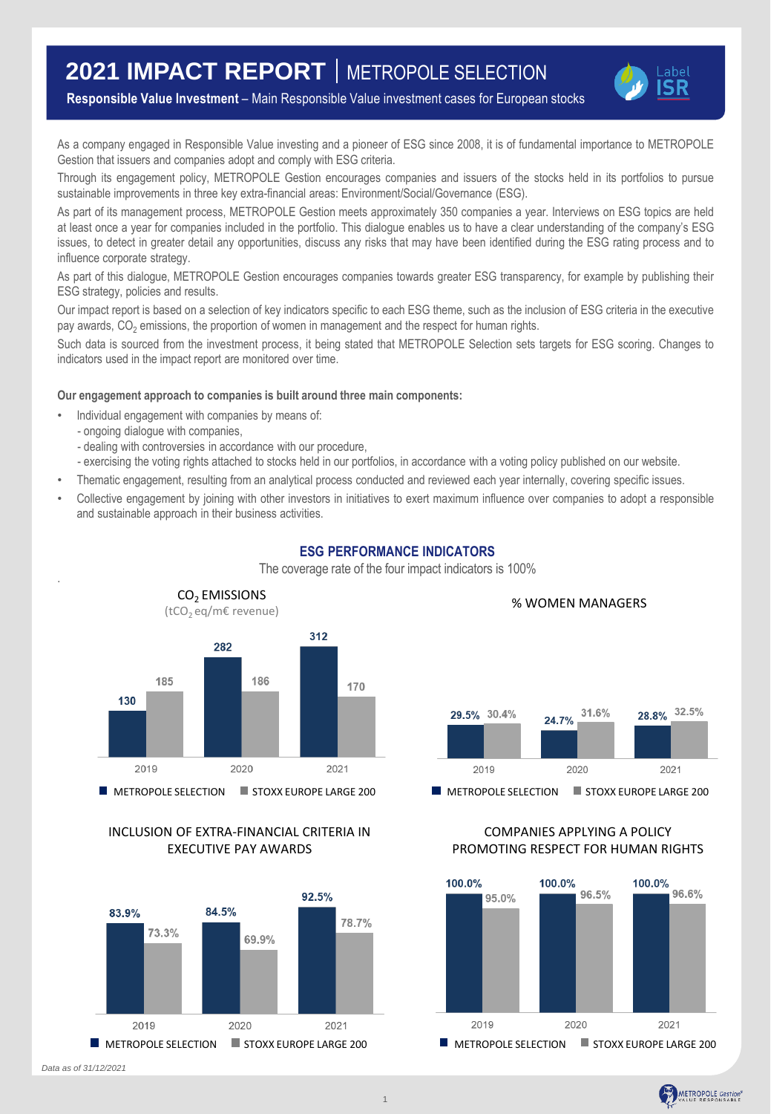# **2021 IMPACT REPORT** | METROPOLE SELECTION



**Responsible Value Investment** – Main Responsible Value investment cases for European stocks

As a company engaged in Responsible Value investing and a pioneer of ESG since 2008, it is of fundamental importance to METROPOLE Gestion that issuers and companies adopt and comply with ESG criteria.

Through its engagement policy, METROPOLE Gestion encourages companies and issuers of the stocks held in its portfolios to pursue sustainable improvements in three key extra-financial areas: Environment/Social/Governance (ESG).

As part of its management process, METROPOLE Gestion meets approximately 350 companies a year. Interviews on ESG topics are held at least once a year for companies included in the portfolio. This dialogue enables us to have a clear understanding of the company's ESG issues, to detect in greater detail any opportunities, discuss any risks that may have been identified during the ESG rating process and to influence corporate strategy.

As part of this dialogue, METROPOLE Gestion encourages companies towards greater ESG transparency, for example by publishing their ESG strategy, policies and results.

Our impact report is based on a selection of key indicators specific to each ESG theme, such as the inclusion of ESG criteria in the executive pay awards, CO<sub>2</sub> emissions, the proportion of women in management and the respect for human rights.

Such data is sourced from the investment process, it being stated that METROPOLE Selection sets targets for ESG scoring. Changes to indicators used in the impact report are monitored over time.

#### **Our engagement approach to companies is built around three main components:**

- Individual engagement with companies by means of:
- ongoing dialogue with companies,
- dealing with controversies in accordance with our procedure,
- exercising the voting rights attached to stocks held in our portfolios, in accordance with a voting policy published on our website.
- Thematic engagement, resulting from an analytical process conducted and reviewed each year internally, covering specific issues.
- Collective engagement by joining with other investors in initiatives to exert maximum influence over companies to adopt a responsible and sustainable approach in their business activities.



## **ESG PERFORMANCE INDICATORS**

The coverage rate of the four impact indicators is 100%



 $\blacksquare$  METROPOLE SELECTION  $\blacksquare$  STOXX EUROPE LARGE 200

### INCLUSION OF EXTRA-FINANCIAL CRITERIA IN EXECUTIVE PAY AWARDS



### COMPANIES APPLYING A POLICY PROMOTING RESPECT FOR HUMAN RIGHTS



*Data as of 31/12/2021*

.

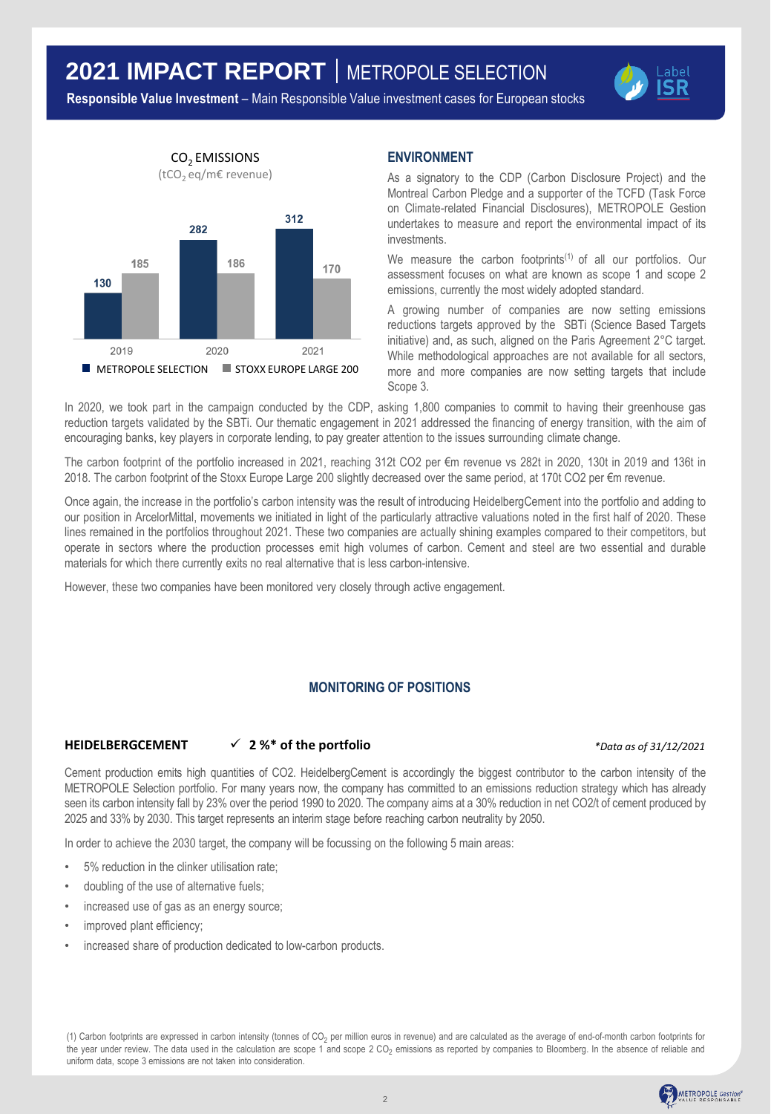# **2021 IMPACT REPORT** | METROPOLE SELECTION

**Responsible Value Investment** – Main Responsible Value investment cases for European stocks



### **ENVIRONMENT**

As a signatory to the CDP (Carbon Disclosure Project) and the Montreal Carbon Pledge and a supporter of the TCFD (Task Force on Climate-related Financial Disclosures), METROPOLE Gestion undertakes to measure and report the environmental impact of its investments.

Label ISR

We measure the carbon footprints<sup>(1)</sup> of all our portfolios. Our assessment focuses on what are known as scope 1 and scope 2 emissions, currently the most widely adopted standard.

A growing number of companies are now setting emissions reductions targets approved by the SBTi (Science Based Targets initiative) and, as such, aligned on the Paris Agreement 2°C target. While methodological approaches are not available for all sectors, more and more companies are now setting targets that include Scope 3.

In 2020, we took part in the campaign conducted by the CDP, asking 1,800 companies to commit to having their greenhouse gas reduction targets validated by the SBTi. Our thematic engagement in 2021 addressed the financing of energy transition, with the aim of encouraging banks, key players in corporate lending, to pay greater attention to the issues surrounding climate change.

The carbon footprint of the portfolio increased in 2021, reaching 312t CO2 per €m revenue vs 282t in 2020, 130t in 2019 and 136t in 2018. The carbon footprint of the Stoxx Europe Large 200 slightly decreased over the same period, at 170t CO2 per €m revenue.

operate in sectors where the production processes emit high volumes of carbon. Cement and steel are two essential and durable Once again, the increase in the portfolio's carbon intensity was the result of introducing HeidelbergCement into the portfolio and adding to . our position in ArcelorMittal, movements we initiated in light of the particularly attractive valuations noted in the first half of 2020. These lines remained in the portfolios throughout 2021. These two companies are actually shining examples compared to their competitors, but materials for which there currently exits no real alternative that is less carbon-intensive.

However, these two companies have been monitored very closely through active engagement.

### **MONITORING OF POSITIONS**

#### **HEIDELBERGCEMENT 2 %\* of the portfolio** *\*Data as of 31/12/2021*

Cement production emits high quantities of CO2. HeidelbergCement is accordingly the biggest contributor to the carbon intensity of the METROPOLE Selection portfolio. For many years now, the company has committed to an emissions reduction strategy which has already seen its carbon intensity fall by 23% over the period 1990 to 2020. The company aims at a 30% reduction in net CO2/t of cement produced by 2025 and 33% by 2030. This target represents an interim stage before reaching carbon neutrality by 2050.

In order to achieve the 2030 target, the company will be focussing on the following 5 main areas:

- 5% reduction in the clinker utilisation rate;
- doubling of the use of alternative fuels;
- increased use of gas as an energy source;
- improved plant efficiency;
- increased share of production dedicated to low-carbon products.

(1) Carbon footprints are expressed in carbon intensity (tonnes of CO<sub>2</sub> per million euros in revenue) and are calculated as the average of end-of-month carbon footprints for the year under review. The data used in the calculation are scope 1 and scope 2 CO<sub>2</sub> emissions as reported by companies to Bloomberg. In the absence of reliable and uniform data, scope 3 emissions are not taken into consideration.

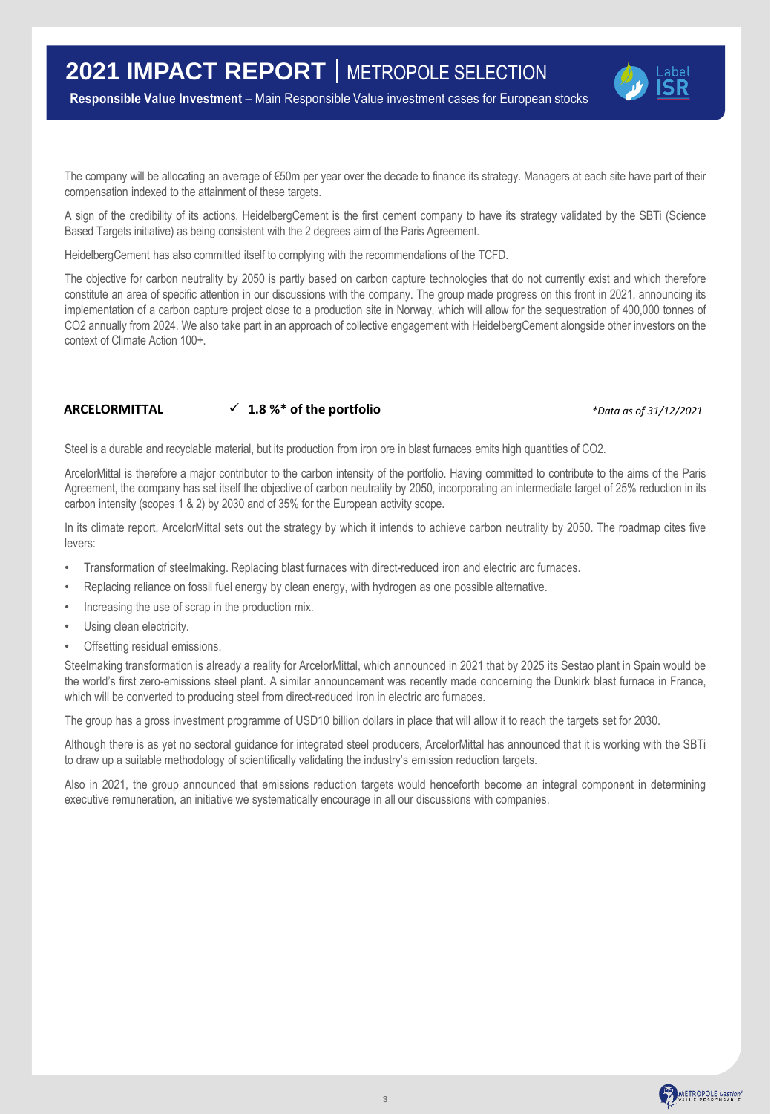

**Responsible Value Investment** – Main Responsible Value investment cases for European stocks

The company will be allocating an average of €50m per year over the decade to finance its strategy. Managers at each site have part of their compensation indexed to the attainment of these targets.

A sign of the credibility of its actions, HeidelbergCement is the first cement company to have its strategy validated by the SBTi (Science Based Targets initiative) as being consistent with the 2 degrees aim of the Paris Agreement.

HeidelbergCement has also committed itself to complying with the recommendations of the TCFD.

The objective for carbon neutrality by 2050 is partly based on carbon capture technologies that do not currently exist and which therefore constitute an area of specific attention in our discussions with the company. The group made progress on this front in 2021, announcing its implementation of a carbon capture project close to a production site in Norway, which will allow for the sequestration of 400,000 tonnes of CO2 annually from 2024. We also take part in an approach of collective engagement with HeidelbergCement alongside other investors on the context of Climate Action 100+.

### **ARCELORMITTAL 1.8 %\* of the portfolio** *\*Data as of 31/12/2021*

Steel is a durable and recyclable material, but its production from iron ore in blast furnaces emits high quantities of CO2.

ArcelorMittal is therefore a major contributor to the carbon intensity of the portfolio. Having committed to contribute to the aims of the Paris Agreement, the company has set itself the objective of carbon neutrality by 2050, incorporating an intermediate target of 25% reduction in its carbon intensity (scopes 1 & 2) by 2030 and of 35% for the European activity scope.

In its climate report, ArcelorMittal sets out the strategy by which it intends to achieve carbon neutrality by 2050. The roadmap cites five levers:

- Transformation of steelmaking. Replacing blast furnaces with direct-reduced iron and electric arc furnaces.
- Replacing reliance on fossil fuel energy by clean energy, with hydrogen as one possible alternative.
- Increasing the use of scrap in the production mix.
- Using clean electricity.
- Offsetting residual emissions.

Steelmaking transformation is already a reality for ArcelorMittal, which announced in 2021 that by 2025 its Sestao plant in Spain would be the world's first zero-emissions steel plant. A similar announcement was recently made concerning the Dunkirk blast furnace in France, which will be converted to producing steel from direct-reduced iron in electric arc furnaces.

The group has a gross investment programme of USD10 billion dollars in place that will allow it to reach the targets set for 2030.

Although there is as yet no sectoral guidance for integrated steel producers, ArcelorMittal has announced that it is working with the SBTi to draw up a suitable methodology of scientifically validating the industry's emission reduction targets.

Also in 2021, the group announced that emissions reduction targets would henceforth become an integral component in determining executive remuneration, an initiative we systematically encourage in all our discussions with companies.

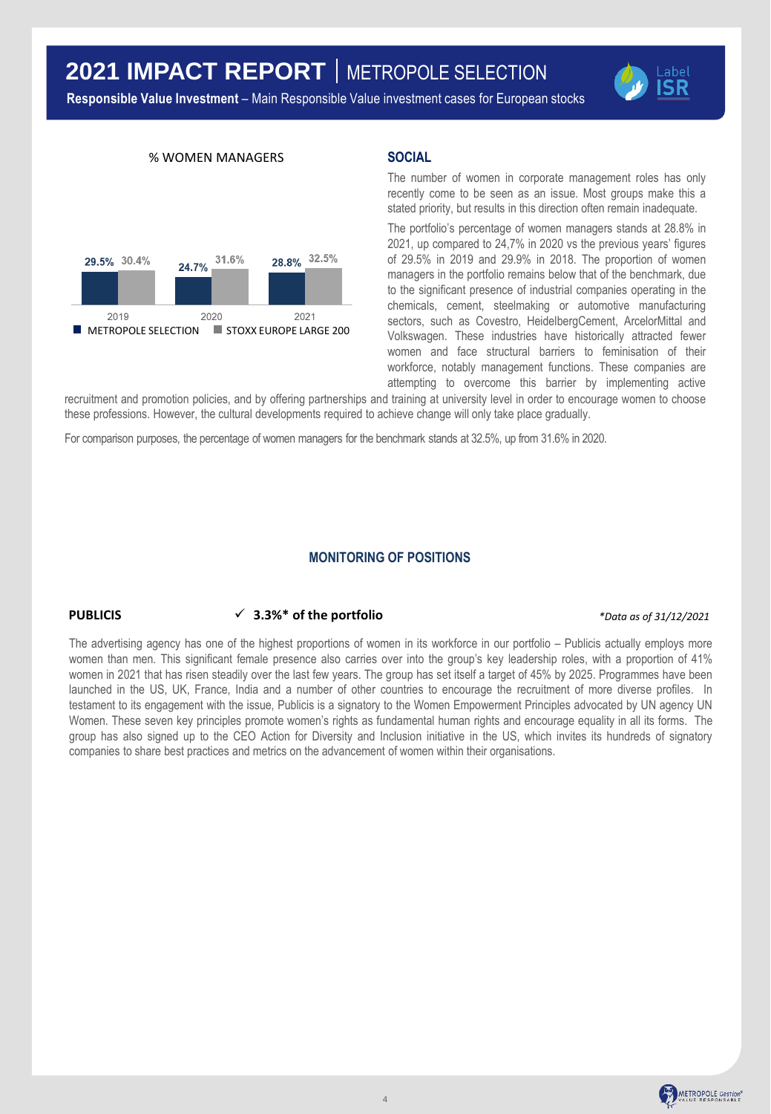



### **SOCIAL**

The number of women in corporate management roles has only recently come to be seen as an issue. Most groups make this a stated priority, but results in this direction often remain inadequate.

The portfolio's percentage of women managers stands at 28.8% in 2021, up compared to 24,7% in 2020 vs the previous years' figures of 29.5% in 2019 and 29.9% in 2018. The proportion of women managers in the portfolio remains below that of the benchmark, due to the significant presence of industrial companies operating in the chemicals, cement, steelmaking or automotive manufacturing sectors, such as Covestro, HeidelbergCement, ArcelorMittal and Volkswagen. These industries have historically attracted fewer women and face structural barriers to feminisation of their workforce, notably management functions. These companies are attempting to overcome this barrier by implementing active

recruitment and promotion policies, and by offering partnerships and training at university level in order to encourage women to choose these professions. However, the cultural developments required to achieve change will only take place gradually.

For comparison purposes, the percentage of women managers for the benchmark stands at 32.5%, up from 31.6% in 2020.

# **MONITORING OF POSITIONS**

#### **PUBLICIS** ★ 3.3%\* of the portfolio *\*Data as of 31/12/2021*

Label ISR

The advertising agency has one of the highest proportions of women in its workforce in our portfolio – Publicis actually employs more women than men. This significant female presence also carries over into the group's key leadership roles, with a proportion of 41% women in 2021 that has risen steadily over the last few years. The group has set itself a target of 45% by 2025. Programmes have been launched in the US, UK, France, India and a number of other countries to encourage the recruitment of more diverse profiles. In testament to its engagement with the issue, Publicis is a signatory to the Women Empowerment Principles advocated by UN agency UN Women. These seven key principles promote women's rights as fundamental human rights and encourage equality in all its forms. The group has also signed up to the CEO Action for Diversity and Inclusion initiative in the US, which invites its hundreds of signatory companies to share best practices and metrics on the advancement of women within their organisations.

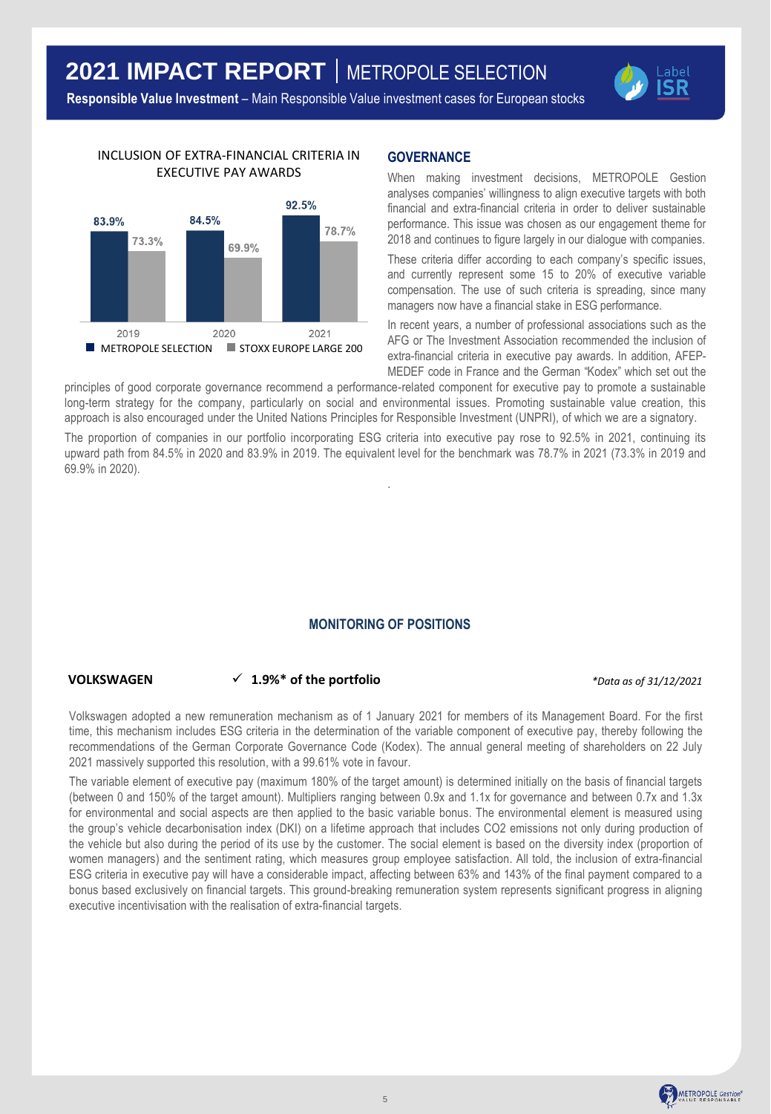

**Responsible Value Investment** – Main Responsible Value investment cases for European stocks

### INCLUSION OF EXTRA-FINANCIAL CRITERIA IN EXECUTIVE PAY AWARDS



### **GOVERNANCE**

When making investment decisions, METROPOLE Gestion analyses companies' willingness to align executive targets with both financial and extra-financial criteria in order to deliver sustainable performance. This issue was chosen as our engagement theme for 2018 and continues to figure largely in our dialogue with companies.

These criteria differ according to each company's specific issues, and currently represent some 15 to 20% of executive variable compensation. The use of such criteria is spreading, since many managers now have a financial stake in ESG performance.

In recent years, a number of professional associations such as the AFG or The Investment Association recommended the inclusion of extra-financial criteria in executive pay awards. In addition, AFEP-MEDEF code in France and the German "Kodex" which set out the

principles of good corporate governance recommend a performance-related component for executive pay to promote a sustainable long-term strategy for the company, particularly on social and environmental issues. Promoting sustainable value creation, this approach is also encouraged under the United Nations Principles for Responsible Investment (UNPRI), of which we are a signatory.

The proportion of companies in our portfolio incorporating ESG criteria into executive pay rose to 92.5% in 2021, continuing its upward path from 84.5% in 2020 and 83.9% in 2019. The equivalent level for the benchmark was 78.7% in 2021 (73.3% in 2019 and 69.9% in 2020).

.

### **MONITORING OF POSITIONS**

### **VOLKSWAGEN 1.9%\* of the portfolio** *\*Data as of 31/12/2021*

Volkswagen adopted a new remuneration mechanism as of 1 January 2021 for members of its Management Board. For the first time, this mechanism includes ESG criteria in the determination of the variable component of executive pay, thereby following the recommendations of the German Corporate Governance Code (Kodex). The annual general meeting of shareholders on 22 July 2021 massively supported this resolution, with a 99.61% vote in favour.

The variable element of executive pay (maximum 180% of the target amount) is determined initially on the basis of financial targets (between 0 and 150% of the target amount). Multipliers ranging between 0.9x and 1.1x for governance and between 0.7x and 1.3x for environmental and social aspects are then applied to the basic variable bonus. The environmental element is measured using the group's vehicle decarbonisation index (DKI) on a lifetime approach that includes CO2 emissions not only during production of the vehicle but also during the period of its use by the customer. The social element is based on the diversity index (proportion of women managers) and the sentiment rating, which measures group employee satisfaction. All told, the inclusion of extra-financial ESG criteria in executive pay will have a considerable impact, affecting between 63% and 143% of the final payment compared to a bonus based exclusively on financial targets. This ground-breaking remuneration system represents significant progress in aligning executive incentivisation with the realisation of extra-financial targets.